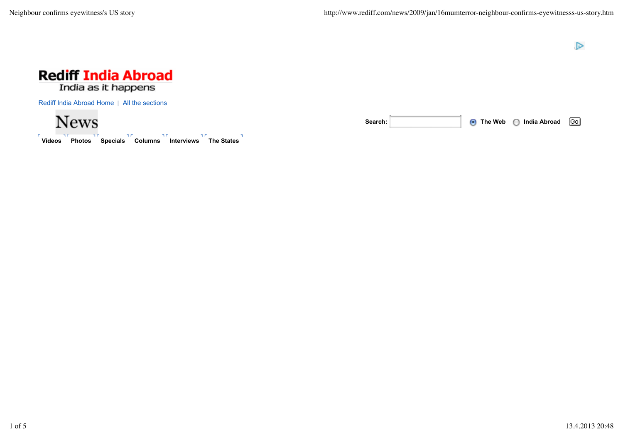



Rediff India Abroad Home | All the sections

**News** 

**Videos Photos Specials Columns Interviews The States**

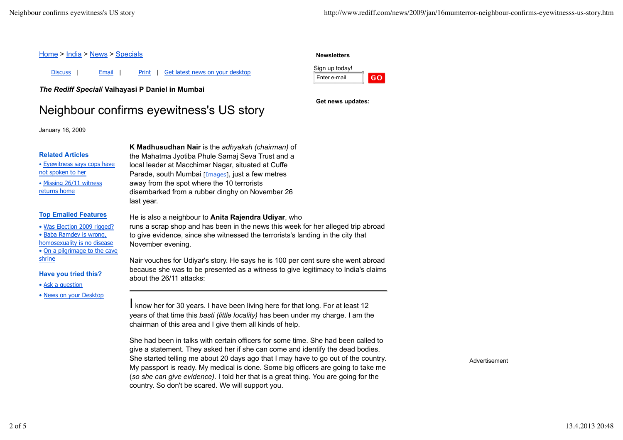## Home > India > News > Specials

Discuss | Email | Print | Get latest news on your desktop

*The Rediff Special***/ Vaihayasi P Daniel in Mumbai**

# Neighbour confirms eyewitness's US story

January 16, 2009

#### **Related Articles**

• Eyewitness says cops have not spoken to her

• Missing 26/11 witness returns home

## **Top Emailed Features**

• Was Election 2009 rigged?

• Baba Ramdev is wrong,

homosexuality is no disease • On a pilgrimage to the cave

shrine

**Have you tried this?**

• Ask a question

• News on your Desktop

**K Madhusudhan Nair** is the *adhyaksh (chairman)* of the Mahatma Jyotiba Phule Samaj Seva Trust and a local leader at Macchimar Nagar, situated at Cuffe Parade, south Mumbai [Images], just a few metres away from the spot where the 10 terrorists disembarked from a rubber dinghy on November 26 last year.

He is also a neighbour to **Anita Rajendra Udiyar**, who runs a scrap shop and has been in the news this week for her alleged trip abroad to give evidence, since she witnessed the terrorists's landing in the city that November evening.

Nair vouches for Udiyar's story. He says he is 100 per cent sure she went abroad because she was to be presented as a witness to give legitimacy to India's claims about the 26/11 attacks:

I know her for 30 years. I have been living here for that long. For at least 12 years of that time this *basti (little locality)* has been under my charge. I am the chairman of this area and I give them all kinds of help.

She had been in talks with certain officers for some time. She had been called to give a statement. They asked her if she can come and identify the dead bodies. She started telling me about 20 days ago that I may have to go out of the country. My passport is ready. My medical is done. Some big officers are going to take me (*so she can give evidence)*. I told her that is a great thing. You are going for the country. So don't be scared. We will support you.

Advertisement

# Sign up today!

**Newsletters**



**Get news updates:**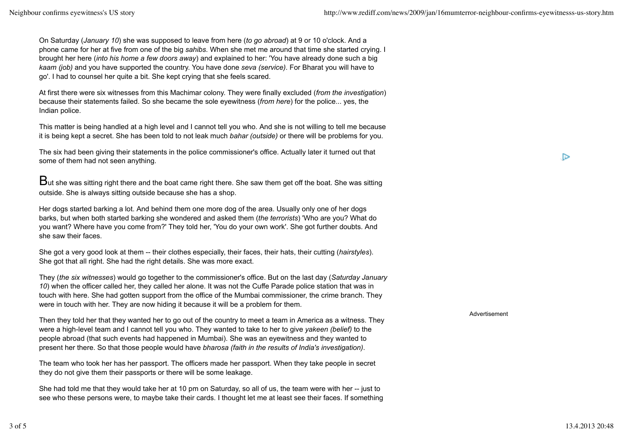On Saturday (*January 10*) she was supposed to leave from here (*to go abroad*) at 9 or 10 o'clock. And a phone came for her at five from one of the big *sahibs*. When she met me around that time she started crying. I brought her here (*into his home a few doors away*) and explained to her: 'You have already done such a big *kaam (job)* and you have supported the country. You have done *seva (service)*. For Bharat you will have to go'. I had to counsel her quite a bit. She kept crying that she feels scared.

At first there were six witnesses from this Machimar colony. They were finally excluded (*from the investigation*) because their statements failed. So she became the sole eyewitness (*from here*) for the police... yes, the Indian police.

This matter is being handled at a high level and I cannot tell you who. And she is not willing to tell me because it is being kept a secret. She has been told to not leak much *bahar (outside)* or there will be problems for you.

The six had been giving their statements in the police commissioner's office. Actually later it turned out that some of them had not seen anything.

 $B$ ut she was sitting right there and the boat came right there. She saw them get off the boat. She was sitting outside. She is always sitting outside because she has a shop.

Her dogs started barking a lot. And behind them one more dog of the area. Usually only one of her dogs barks, but when both started barking she wondered and asked them (*the terrorists*) 'Who are you? What do you want? Where have you come from?' They told her, 'You do your own work'. She got further doubts. And she saw their faces.

She got a very good look at them -- their clothes especially, their faces, their hats, their cutting (*hairstyles*). She got that all right. She had the right details. She was more exact.

They (*the six witnesses*) would go together to the commissioner's office. But on the last day (*Saturday January 10*) when the officer called her, they called her alone. It was not the Cuffe Parade police station that was in touch with here. She had gotten support from the office of the Mumbai commissioner, the crime branch. They were in touch with her. They are now hiding it because it will be a problem for them.

Then they told her that they wanted her to go out of the country to meet a team in America as a witness. They were a high-level team and I cannot tell you who. They wanted to take to her to give *yakeen (belief)* to the people abroad (that such events had happened in Mumbai). She was an eyewitness and they wanted to present her there. So that those people would have *bharosa (faith in the results of India's investigation)*.

The team who took her has her passport. The officers made her passport. When they take people in secret they do not give them their passports or there will be some leakage.

She had told me that they would take her at 10 pm on Saturday, so all of us, the team were with her -- just to see who these persons were, to maybe take their cards. I thought let me at least see their faces. If something Advertisement

 $\triangleright$